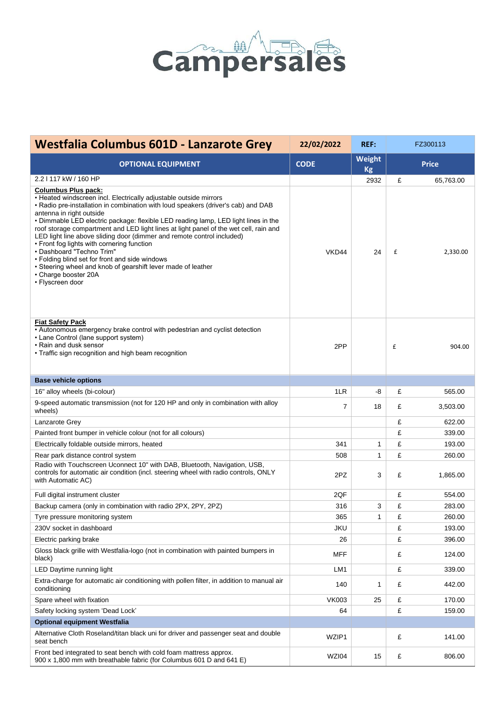

| <b>Westfalia Columbus 601D - Lanzarote Grey</b>                                                                                                                                                                                                                                                                                                                                                                                                                                                                                                                                                                                                                                                                    | 22/02/2022      | <b>REF:</b>  | FZ300113     |           |
|--------------------------------------------------------------------------------------------------------------------------------------------------------------------------------------------------------------------------------------------------------------------------------------------------------------------------------------------------------------------------------------------------------------------------------------------------------------------------------------------------------------------------------------------------------------------------------------------------------------------------------------------------------------------------------------------------------------------|-----------------|--------------|--------------|-----------|
| <b>OPTIONAL EQUIPMENT</b>                                                                                                                                                                                                                                                                                                                                                                                                                                                                                                                                                                                                                                                                                          | <b>CODE</b>     | Weight<br>Kg | <b>Price</b> |           |
| 2.2   117 kW / 160 HP                                                                                                                                                                                                                                                                                                                                                                                                                                                                                                                                                                                                                                                                                              |                 | 2932         | £            | 65,763.00 |
| <b>Columbus Plus pack:</b><br>• Heated windscreen incl. Electrically adjustable outside mirrors<br>. Radio pre-installation in combination with loud speakers (driver's cab) and DAB<br>antenna in right outside<br>• Dimmable LED electric package: flexible LED reading lamp, LED light lines in the<br>roof storage compartment and LED light lines at light panel of the wet cell, rain and<br>LED light line above sliding door (dimmer and remote control included)<br>• Front fog lights with cornering function<br>• Dashboard "Techno Trim"<br>• Folding blind set for front and side windows<br>• Steering wheel and knob of gearshift lever made of leather<br>• Charge booster 20A<br>• Flyscreen door | VKD44           | 24           | £            | 2,330.00  |
| <b>Fiat Safety Pack</b><br>• Autonomous emergency brake control with pedestrian and cyclist detection<br>• Lane Control (lane support system)<br>• Rain and dusk sensor<br>• Traffic sign recognition and high beam recognition                                                                                                                                                                                                                                                                                                                                                                                                                                                                                    | 2PP             |              | £            | 904.00    |
| <b>Base vehicle options</b>                                                                                                                                                                                                                                                                                                                                                                                                                                                                                                                                                                                                                                                                                        |                 |              |              |           |
| 16" alloy wheels (bi-colour)                                                                                                                                                                                                                                                                                                                                                                                                                                                                                                                                                                                                                                                                                       | 1LR             | -8           | £            | 565.00    |
| 9-speed automatic transmission (not for 120 HP and only in combination with alloy<br>wheels)                                                                                                                                                                                                                                                                                                                                                                                                                                                                                                                                                                                                                       | 7               | 18           | £            | 3,503.00  |
| Lanzarote Grey                                                                                                                                                                                                                                                                                                                                                                                                                                                                                                                                                                                                                                                                                                     |                 |              | £            | 622.00    |
| Painted front bumper in vehicle colour (not for all colours)                                                                                                                                                                                                                                                                                                                                                                                                                                                                                                                                                                                                                                                       |                 |              | £            | 339.00    |
| Electrically foldable outside mirrors, heated                                                                                                                                                                                                                                                                                                                                                                                                                                                                                                                                                                                                                                                                      | 341             | 1            | £            | 193.00    |
| Rear park distance control system                                                                                                                                                                                                                                                                                                                                                                                                                                                                                                                                                                                                                                                                                  | 508             | $\mathbf{1}$ | £            | 260.00    |
| Radio with Touchscreen Uconnect 10" with DAB, Bluetooth, Navigation, USB,<br>controls for automatic air condition (incl. steering wheel with radio controls, ONLY<br>with Automatic AC)                                                                                                                                                                                                                                                                                                                                                                                                                                                                                                                            | 2PZ             | 3            | £            | 1,865.00  |
| Full digital instrument cluster                                                                                                                                                                                                                                                                                                                                                                                                                                                                                                                                                                                                                                                                                    | 2QF             |              | £            | 554.00    |
| Backup camera (only in combination with radio 2PX, 2PY, 2PZ)                                                                                                                                                                                                                                                                                                                                                                                                                                                                                                                                                                                                                                                       | 316             | 3            | £            | 283.00    |
| Tyre pressure monitoring system                                                                                                                                                                                                                                                                                                                                                                                                                                                                                                                                                                                                                                                                                    | 365             | $\mathbf{1}$ | £            | 260.00    |
| 230V socket in dashboard                                                                                                                                                                                                                                                                                                                                                                                                                                                                                                                                                                                                                                                                                           | <b>JKU</b>      |              | £            | 193.00    |
| Electric parking brake                                                                                                                                                                                                                                                                                                                                                                                                                                                                                                                                                                                                                                                                                             | 26              |              | £            | 396.00    |
| Gloss black grille with Westfalia-logo (not in combination with painted bumpers in<br>black)                                                                                                                                                                                                                                                                                                                                                                                                                                                                                                                                                                                                                       | MFF             |              | £            | 124.00    |
| LED Daytime running light                                                                                                                                                                                                                                                                                                                                                                                                                                                                                                                                                                                                                                                                                          | LM <sub>1</sub> |              | £            | 339.00    |
| Extra-charge for automatic air conditioning with pollen filter, in addition to manual air<br>conditioning                                                                                                                                                                                                                                                                                                                                                                                                                                                                                                                                                                                                          | 140             | 1            | £            | 442.00    |
| Spare wheel with fixation                                                                                                                                                                                                                                                                                                                                                                                                                                                                                                                                                                                                                                                                                          | <b>VK003</b>    | 25           | £            | 170.00    |
| Safety locking system 'Dead Lock'                                                                                                                                                                                                                                                                                                                                                                                                                                                                                                                                                                                                                                                                                  | 64              |              | £            | 159.00    |
| <b>Optional equipment Westfalia</b>                                                                                                                                                                                                                                                                                                                                                                                                                                                                                                                                                                                                                                                                                |                 |              |              |           |
| Alternative Cloth Roseland/titan black uni for driver and passenger seat and double<br>seat bench                                                                                                                                                                                                                                                                                                                                                                                                                                                                                                                                                                                                                  | WZIP1           |              | £            | 141.00    |
| Front bed integrated to seat bench with cold foam mattress approx.<br>900 x 1,800 mm with breathable fabric (for Columbus 601 D and 641 E)                                                                                                                                                                                                                                                                                                                                                                                                                                                                                                                                                                         | WZI04           | 15           | £            | 806.00    |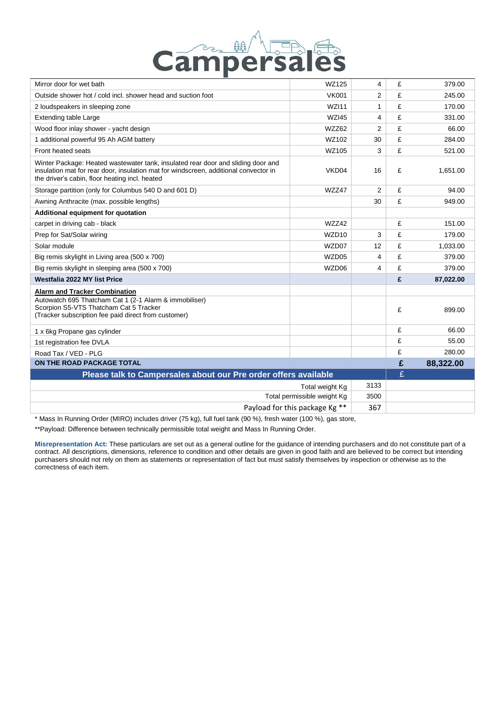

| Mirror door for wet bath                                                                                                                                                                                                   | WZ125             | 4              | £ | 379.00    |
|----------------------------------------------------------------------------------------------------------------------------------------------------------------------------------------------------------------------------|-------------------|----------------|---|-----------|
| Outside shower hot / cold incl. shower head and suction foot                                                                                                                                                               | <b>VK001</b>      | 2              | £ | 245.00    |
| 2 loudspeakers in sleeping zone                                                                                                                                                                                            | <b>WZI11</b>      | $\mathbf{1}$   | £ | 170.00    |
| <b>Extending table Large</b>                                                                                                                                                                                               | <b>WZI45</b>      | 4              | £ | 331.00    |
| Wood floor inlay shower - yacht design                                                                                                                                                                                     | WZZ62             | 2              | £ | 66.00     |
| 1 additional powerful 95 Ah AGM battery                                                                                                                                                                                    | WZ102             | 30             | £ | 284.00    |
| Front heated seats                                                                                                                                                                                                         | WZ105             | 3              | £ | 521.00    |
| Winter Package: Heated wastewater tank, insulated rear door and sliding door and<br>insulation mat for rear door, insulation mat for windscreen, additional convector in<br>the driver's cabin, floor heating incl. heated | VKD04             | 16             | £ | 1,651.00  |
| Storage partition (only for Columbus 540 D and 601 D)                                                                                                                                                                      | WZZ47             | $\overline{2}$ | £ | 94.00     |
| Awning Anthracite (max. possible lengths)                                                                                                                                                                                  |                   | 30             | £ | 949.00    |
| Additional equipment for quotation                                                                                                                                                                                         |                   |                |   |           |
| carpet in driving cab - black                                                                                                                                                                                              | WZZ42             |                | £ | 151.00    |
| Prep for Sat/Solar wiring                                                                                                                                                                                                  | WZD <sub>10</sub> | 3              | £ | 179.00    |
| Solar module                                                                                                                                                                                                               | WZD07             | 12             | £ | 1,033.00  |
| Big remis skylight in Living area (500 x 700)                                                                                                                                                                              | WZD05             | 4              | £ | 379.00    |
| Big remis skylight in sleeping area (500 x 700)                                                                                                                                                                            | WZD06             | 4              | £ | 379.00    |
| <b>Westfalia 2022 MY list Price</b>                                                                                                                                                                                        |                   |                | £ | 87,022.00 |
| <b>Alarm and Tracker Combination</b>                                                                                                                                                                                       |                   |                |   |           |
| Autowatch 695 Thatcham Cat 1 (2-1 Alarm & immobiliser)<br>Scorpion S5-VTS Thatcham Cat 5 Tracker<br>(Tracker subscription fee paid direct from customer)                                                                   |                   |                | £ | 899.00    |
| 1 x 6kg Propane gas cylinder                                                                                                                                                                                               |                   |                | £ | 66.00     |
| 1st registration fee DVLA                                                                                                                                                                                                  |                   |                | £ | 55.00     |
| Road Tax / VED - PLG                                                                                                                                                                                                       |                   |                | £ | 280.00    |
| ON THE ROAD PACKAGE TOTAL                                                                                                                                                                                                  |                   |                | £ | 88,322.00 |
| Please talk to Campersales about our Pre order offers available                                                                                                                                                            |                   |                | £ |           |
| Total weight Kg                                                                                                                                                                                                            |                   | 3133           |   |           |
| Total permissible weight Kg                                                                                                                                                                                                |                   | 3500           |   |           |
| Payload for this package Kg **                                                                                                                                                                                             |                   | 367            |   |           |

\* Mass In Running Order (MIRO) includes driver (75 kg), full fuel tank (90 %), fresh water (100 %), gas store,

\*\*Payload: Difference between technically permissible total weight and Mass In Running Order.

**Misrepresentation Act:** These particulars are set out as a general outline for the guidance of intending purchasers and do not constitute part of a contract. All descriptions, dimensions, reference to condition and other details are given in good faith and are believed to be correct but intending purchasers should not rely on them as statements or representation of fact but must satisfy themselves by inspection or otherwise as to the correctness of each item.